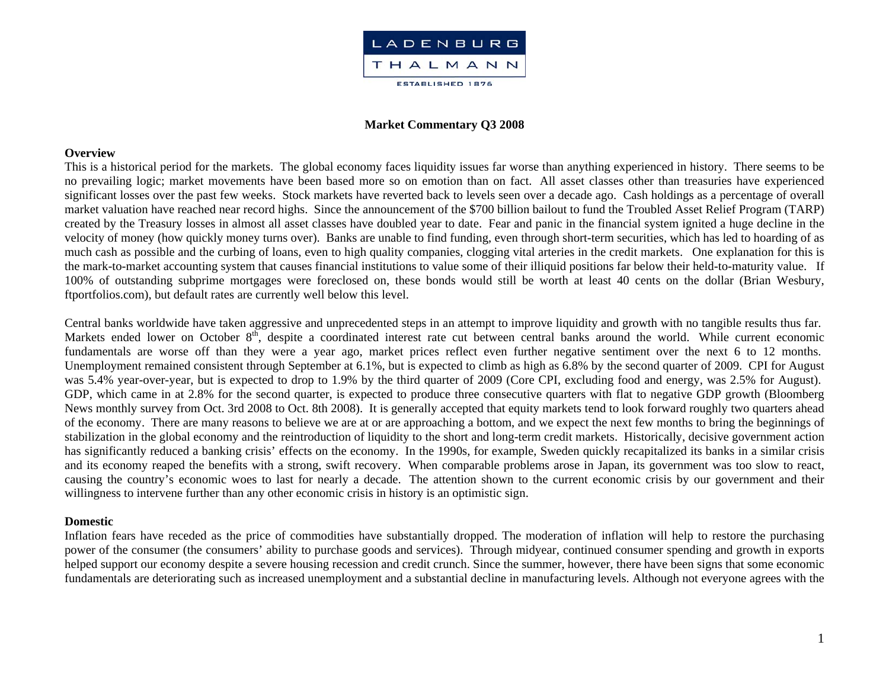

### **Market Commentary Q3 2008**

#### **Overview**

This is a historical period for the markets. The global economy faces liquidity issues far worse than anything experienced in history. There seems to be no prevailing logic; market movements have been based more so on emotion than on fact. All asset classes other than treasuries have experienced significant losses over the past few weeks. Stock markets have reverted back to levels seen over a decade ago. Cash holdings as a percentage of overall market valuation have reached near record highs. Since the announcement of the \$700 billion bailout to fund the Troubled Asset Relief Program (TARP) created by the Treasury losses in almost all asset classes have doubled year to date. Fear and panic in the financial system ignited a huge decline in the velocity of money (how quickly money turns over). Banks are unable to find funding, even through short-term securities, which has led to hoarding of as much cash as possible and the curbing of loans, even to high quality companies, clogging vital arteries in the credit markets. One explanation for this is the mark-to-market accounting system that causes financial institutions to value some of their illiquid positions far below their held-to-maturity value. If 100% of outstanding subprime mortgages were foreclosed on, these bonds would still be worth at least 40 cents on the dollar (Brian Wesbury, ftportfolios.com), but default rates are currently well below this level.

Central banks worldwide have taken aggressive and unprecedented steps in an attempt to improve liquidity and growth with no tangible results thus far. Markets ended lower on October 8<sup>th</sup>, despite a coordinated interest rate cut between central banks around the world. While current economic fundamentals are worse off than they were a year ago, market prices reflect even further negative sentiment over the next 6 to 12 months. Unemployment remained consistent through September at 6.1%, but is expected to climb as high as 6.8% by the second quarter of 2009. CPI for August was 5.4% year-over-year, but is expected to drop to 1.9% by the third quarter of 2009 (Core CPI, excluding food and energy, was 2.5% for August). GDP, which came in at 2.8% for the second quarter, is expected to produce three consecutive quarters with flat to negative GDP growth (Bloomberg News monthly survey from Oct. 3rd 2008 to Oct. 8th 2008). It is generally accepted that equity markets tend to look forward roughly two quarters ahead of the economy. There are many reasons to believe we are at or are approaching a bottom, and we expect the next few months to bring the beginnings of stabilization in the global economy and the reintroduction of liquidity to the short and long-term credit markets. Historically, decisive government action has significantly reduced a banking crisis' effects on the economy. In the 1990s, for example, Sweden quickly recapitalized its banks in a similar crisis and its economy reaped the benefits with a strong, swift recovery. When comparable problems arose in Japan, its government was too slow to react, causing the country's economic woes to last for nearly a decade. The attention shown to the current economic crisis by our government and their willingness to intervene further than any other economic crisis in history is an optimistic sign.

#### **Domestic**

Inflation fears have receded as the price of commodities have substantially dropped. The moderation of inflation will help to restore the purchasing power of the consumer (the consumers' ability to purchase goods and services). Through midyear, continued consumer spending and growth in exports helped support our economy despite a severe housing recession and credit crunch. Since the summer, however, there have been signs that some economic fundamentals are deteriorating such as increased unemployment and a substantial decline in manufacturing levels. Although not everyone agrees with the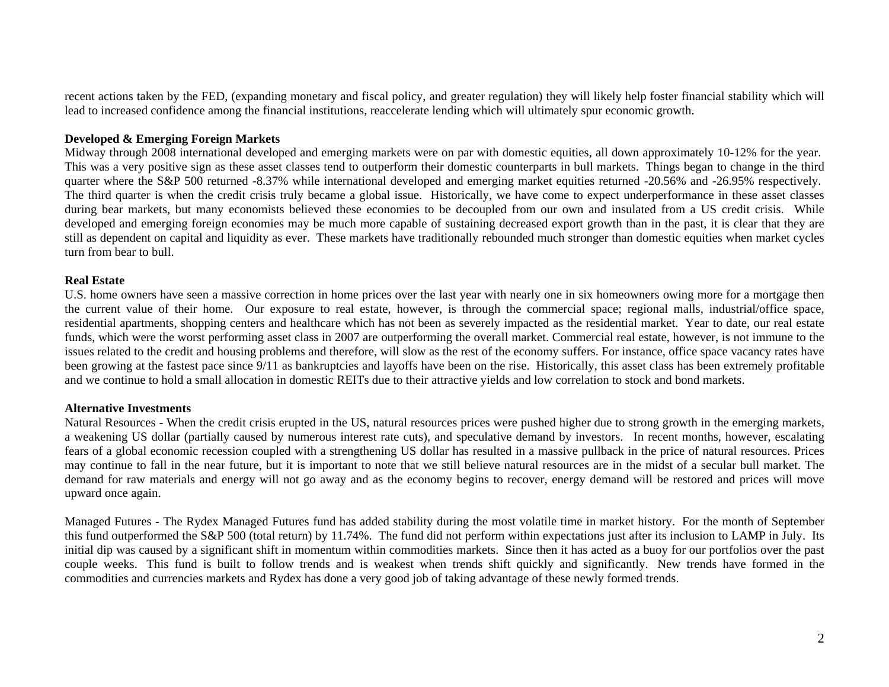recent actions taken by the FED, (expanding monetary and fiscal policy, and greater regulation) they will likely help foster financial stability which will lead to increased confidence among the financial institutions, reaccelerate lending which will ultimately spur economic growth.

# **Developed & Emerging Foreign Markets**

Midway through 2008 international developed and emerging markets were on par with domestic equities, all down approximately 10-12% for the year. This was a very positive sign as these asset classes tend to outperform their domestic counterparts in bull markets. Things began to change in the third quarter where the S&P 500 returned -8.37% while international developed and emerging market equities returned -20.56% and -26.95% respectively. The third quarter is when the credit crisis truly became a global issue. Historically, we have come to expect underperformance in these asset classes during bear markets, but many economists believed these economies to be decoupled from our own and insulated from a US credit crisis. While developed and emerging foreign economies may be much more capable of sustaining decreased export growth than in the past, it is clear that they are still as dependent on capital and liquidity as ever. These markets have traditionally rebounded much stronger than domestic equities when market cycles turn from bear to bull.

## **Real Estate**

U.S. home owners have seen a massive correction in home prices over the last year with nearly one in six homeowners owing more for a mortgage then the current value of their home. Our exposure to real estate, however, is through the commercial space; regional malls, industrial/office space, residential apartments, shopping centers and healthcare which has not been as severely impacted as the residential market. Year to date, our real estate funds, which were the worst performing asset class in 2007 are outperforming the overall market. Commercial real estate, however, is not immune to the issues related to the credit and housing problems and therefore, will slow as the rest of the economy suffers. For instance, office space vacancy rates have been growing at the fastest pace since 9/11 as bankruptcies and layoffs have been on the rise. Historically, this asset class has been extremely profitable and we continue to hold a small allocation in domestic REITs due to their attractive yields and low correlation to stock and bond markets.

## **Alternative Investments**

Natural Resources - When the credit crisis erupted in the US, natural resources prices were pushed higher due to strong growth in the emerging markets, a weakening US dollar (partially caused by numerous interest rate cuts), and speculative demand by investors. In recent months, however, escalating fears of a global economic recession coupled with a strengthening US dollar has resulted in a massive pullback in the price of natural resources. Prices may continue to fall in the near future, but it is important to note that we still believe natural resources are in the midst of a secular bull market. The demand for raw materials and energy will not go away and as the economy begins to recover, energy demand will be restored and prices will move upward once again.

Managed Futures - The Rydex Managed Futures fund has added stability during the most volatile time in market history. For the month of September this fund outperformed the S&P 500 (total return) by 11.74%. The fund did not perform within expectations just after its inclusion to LAMP in July. Its initial dip was caused by a significant shift in momentum within commodities markets. Since then it has acted as a buoy for our portfolios over the past couple weeks. This fund is built to follow trends and is weakest when trends shift quickly and significantly. New trends have formed in the commodities and currencies markets and Rydex has done a very good job of taking advantage of these newly formed trends.